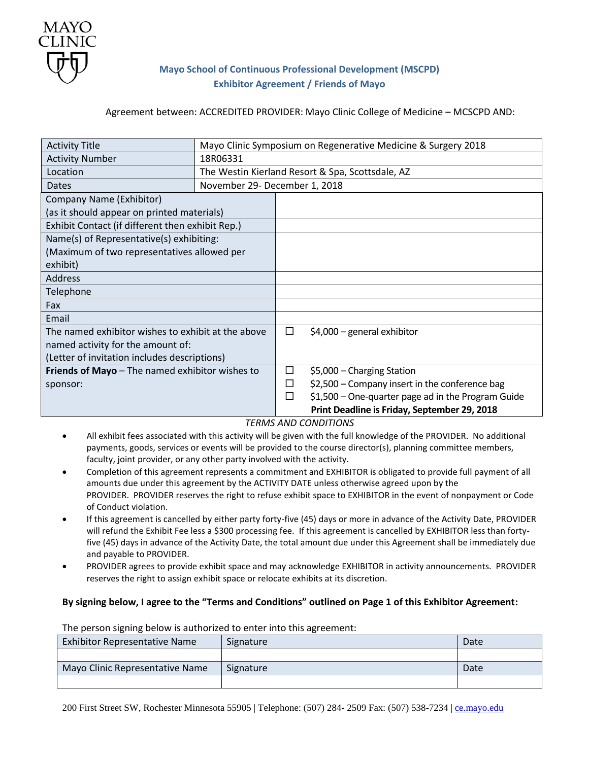

# **Mayo School of Continuous Professional Development (MSCPD) Exhibitor Agreement / Friends of Mayo**

### Agreement between: ACCREDITED PROVIDER: Mayo Clinic College of Medicine – MCSCPD AND:

| <b>Activity Title</b>                              |                                                  |   | Mayo Clinic Symposium on Regenerative Medicine & Surgery 2018 |
|----------------------------------------------------|--------------------------------------------------|---|---------------------------------------------------------------|
| <b>Activity Number</b>                             | 18R06331                                         |   |                                                               |
| Location                                           | The Westin Kierland Resort & Spa, Scottsdale, AZ |   |                                                               |
| <b>Dates</b>                                       | November 29- December 1, 2018                    |   |                                                               |
| Company Name (Exhibitor)                           |                                                  |   |                                                               |
| (as it should appear on printed materials)         |                                                  |   |                                                               |
| Exhibit Contact (if different then exhibit Rep.)   |                                                  |   |                                                               |
| Name(s) of Representative(s) exhibiting:           |                                                  |   |                                                               |
| (Maximum of two representatives allowed per        |                                                  |   |                                                               |
| exhibit)                                           |                                                  |   |                                                               |
| <b>Address</b>                                     |                                                  |   |                                                               |
| Telephone                                          |                                                  |   |                                                               |
| Fax                                                |                                                  |   |                                                               |
| Email                                              |                                                  |   |                                                               |
| The named exhibitor wishes to exhibit at the above |                                                  | □ | $$4,000$ – general exhibitor                                  |
| named activity for the amount of:                  |                                                  |   |                                                               |
| (Letter of invitation includes descriptions)       |                                                  |   |                                                               |
| Friends of Mayo - The named exhibitor wishes to    |                                                  | □ | \$5,000 - Charging Station                                    |
| sponsor:                                           |                                                  | □ | \$2,500 - Company insert in the conference bag                |
|                                                    |                                                  | □ | \$1,500 - One-quarter page ad in the Program Guide            |
|                                                    |                                                  |   | Print Deadline is Friday, September 29, 2018                  |

## *TERMS AND CONDITIONS*

- All exhibit fees associated with this activity will be given with the full knowledge of the PROVIDER. No additional payments, goods, services or events will be provided to the course director(s), planning committee members, faculty, joint provider, or any other party involved with the activity.
- Completion of this agreement represents a commitment and EXHIBITOR is obligated to provide full payment of all amounts due under this agreement by the ACTIVITY DATE unless otherwise agreed upon by the PROVIDER. PROVIDER reserves the right to refuse exhibit space to EXHIBITOR in the event of nonpayment or Code of Conduct violation.
- If this agreement is cancelled by either party forty-five (45) days or more in advance of the Activity Date, PROVIDER will refund the Exhibit Fee less a \$300 processing fee. If this agreement is cancelled by EXHIBITOR less than fortyfive (45) days in advance of the Activity Date, the total amount due under this Agreement shall be immediately due and payable to PROVIDER.
- PROVIDER agrees to provide exhibit space and may acknowledge EXHIBITOR in activity announcements. PROVIDER reserves the right to assign exhibit space or relocate exhibits at its discretion.

#### **By signing below, I agree to the "Terms and Conditions" outlined on Page 1 of this Exhibitor Agreement:**

| THE PERSON SIGNING DEIDWAS QUINONZED TO CHIEF THIS UNS UGI CENTENT. |           |      |  |  |
|---------------------------------------------------------------------|-----------|------|--|--|
| Exhibitor Representative Name                                       | Signature | Date |  |  |
|                                                                     |           |      |  |  |
| Mayo Clinic Representative Name                                     | Signature | Date |  |  |
|                                                                     |           |      |  |  |

The person signing below is authorized to enter into this agreement: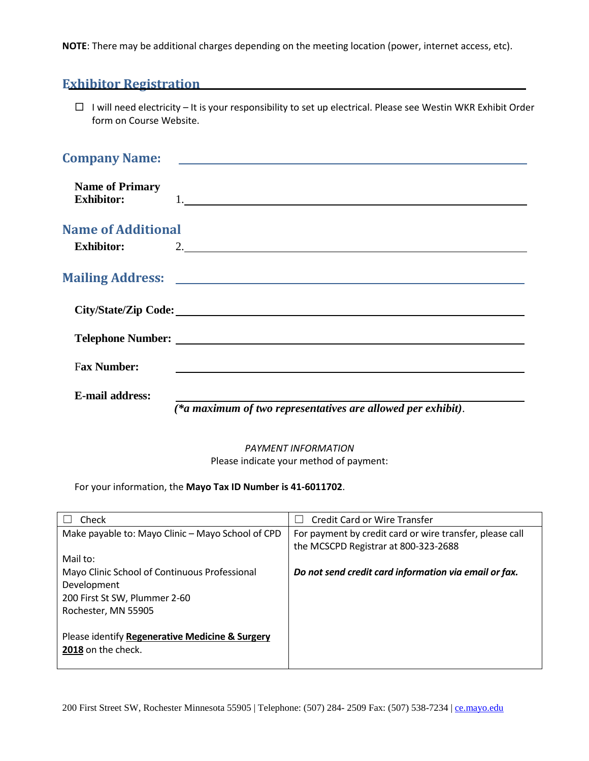**NOTE**: There may be additional charges depending on the meeting location (power, internet access, etc).

# **Exhibitor Registration**

 $\Box$  I will need electricity – It is your responsibility to set up electrical. Please see Westin WKR Exhibit Order form on Course Website.

|                                             | Company Name: <u>Discover and the set of the set of the set of the set of the set of the set of the set of the set of the set of the set of the set of the set of the set of the set of the set of the set of the set of the set</u> |
|---------------------------------------------|--------------------------------------------------------------------------------------------------------------------------------------------------------------------------------------------------------------------------------------|
| <b>Name of Primary</b><br><b>Exhibitor:</b> | $\begin{array}{c} \hline \end{array}$                                                                                                                                                                                                |
| <b>Name of Additional</b>                   |                                                                                                                                                                                                                                      |
| <b>Exhibitor:</b>                           | 2.                                                                                                                                                                                                                                   |
|                                             |                                                                                                                                                                                                                                      |
|                                             |                                                                                                                                                                                                                                      |
|                                             |                                                                                                                                                                                                                                      |
| <b>Fax Number:</b>                          |                                                                                                                                                                                                                                      |
| <b>E-mail address:</b>                      |                                                                                                                                                                                                                                      |

*(\*a maximum of two representatives are allowed per exhibit)*.

*PAYMENT INFORMATION* Please indicate your method of payment:

For your information, the **Mayo Tax ID Number is 41-6011702**.

| Check                                             | Credit Card or Wire Transfer                             |
|---------------------------------------------------|----------------------------------------------------------|
| Make payable to: Mayo Clinic - Mayo School of CPD | For payment by credit card or wire transfer, please call |
|                                                   | the MCSCPD Registrar at 800-323-2688                     |
| Mail to:                                          |                                                          |
| Mayo Clinic School of Continuous Professional     | Do not send credit card information via email or fax.    |
| Development                                       |                                                          |
| 200 First St SW, Plummer 2-60                     |                                                          |
| Rochester, MN 55905                               |                                                          |
|                                                   |                                                          |
| Please identify Regenerative Medicine & Surgery   |                                                          |
| 2018 on the check.                                |                                                          |
|                                                   |                                                          |